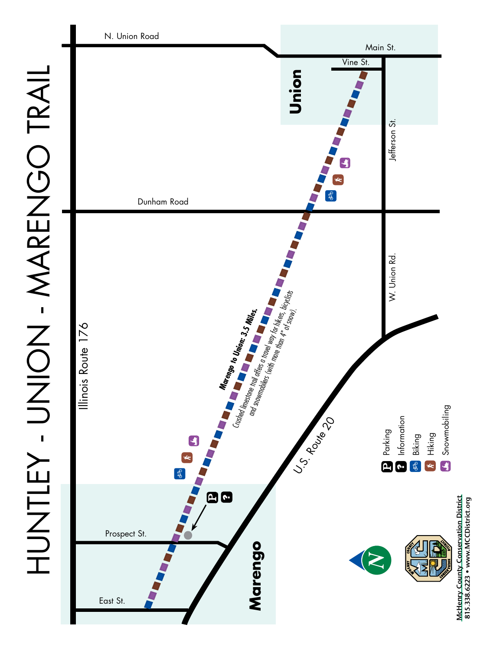